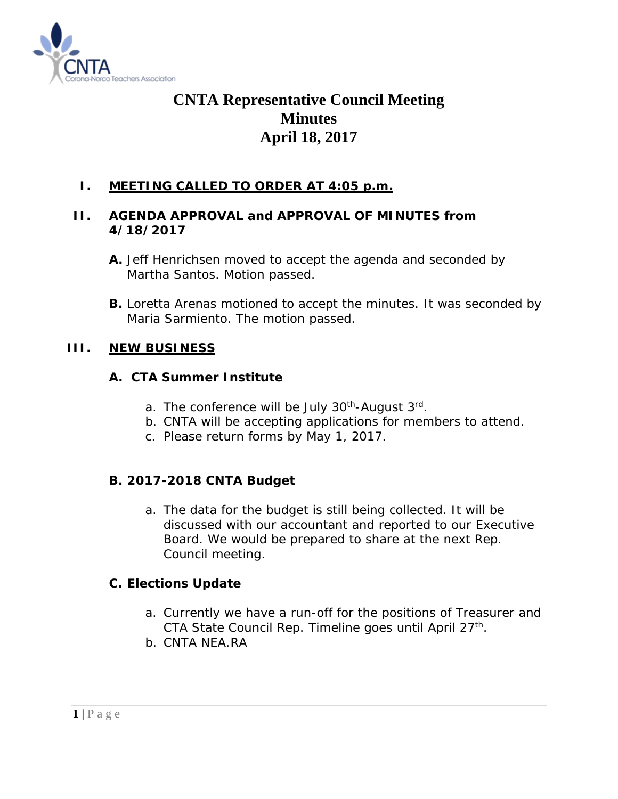

# **CNTA Representative Council Meeting Minutes April 18, 2017**

## **I. MEETING CALLED TO ORDER AT 4:05 p.m.**

## **II. AGENDA APPROVAL and APPROVAL OF MINUTES from 4/18/2017**

**B.** Loretta Arenas motioned to accept the minutes. It was seconded by Maria Sarmiento. The motion passed.

## **III. NEW BUSINESS**

### **A. CTA Summer Institute**

- a. The conference will be July 30<sup>th</sup>-August 3<sup>rd</sup>.
- b. CNTA will be accepting applications for members to attend.
- c. Please return forms by May 1, 2017.

### **B. 2017-2018 CNTA Budget**

a. The data for the budget is still being collected. It will be discussed with our accountant and reported to our Executive Board. We would be prepared to share at the next Rep. Council meeting.

### **C. Elections Update**

- a. Currently we have a run-off for the positions of Treasurer and CTA State Council Rep. Timeline goes until April 27<sup>th</sup>.
- b. CNTA NEA.RA

**A.** Jeff Henrichsen moved to accept the agenda and seconded by Martha Santos. Motion passed.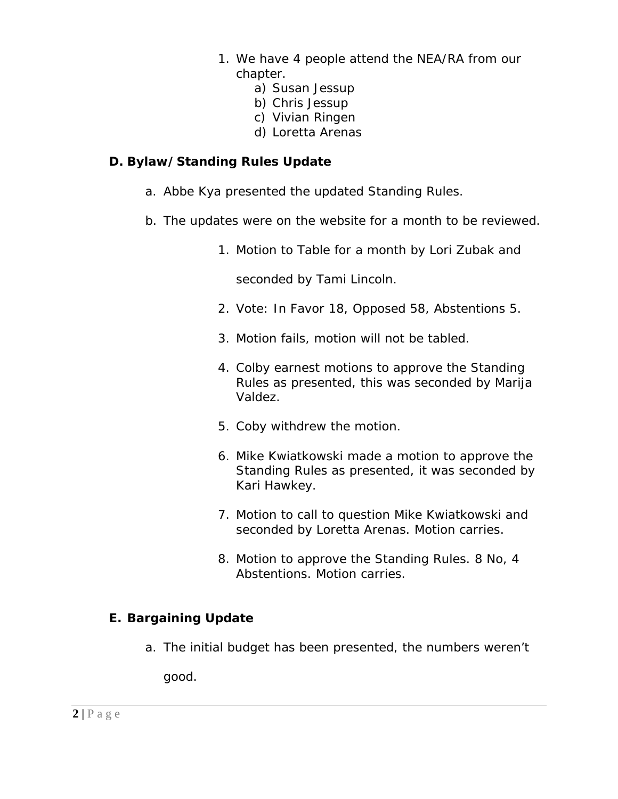- 1. We have 4 people attend the NEA/RA from our chapter.
	- a) Susan Jessup
	- b) Chris Jessup
	- c) Vivian Ringen
	- d) Loretta Arenas

## **D. Bylaw/Standing Rules Update**

- a. Abbe Kya presented the updated Standing Rules.
- b. The updates were on the website for a month to be reviewed.
	- 1. Motion to Table for a month by Lori Zubak and

seconded by Tami Lincoln.

- 2. Vote: In Favor 18, Opposed 58, Abstentions 5.
- 3. Motion fails, motion will not be tabled.
- 4. Colby earnest motions to approve the Standing Rules as presented, this was seconded by Marija Valdez.
- 5. Coby withdrew the motion.
- 6. Mike Kwiatkowski made a motion to approve the Standing Rules as presented, it was seconded by Kari Hawkey.
- 7. Motion to call to question Mike Kwiatkowski and seconded by Loretta Arenas. Motion carries.
- 8. Motion to approve the Standing Rules. 8 No, 4 Abstentions. Motion carries.

# **E. Bargaining Update**

a. The initial budget has been presented, the numbers weren't

good.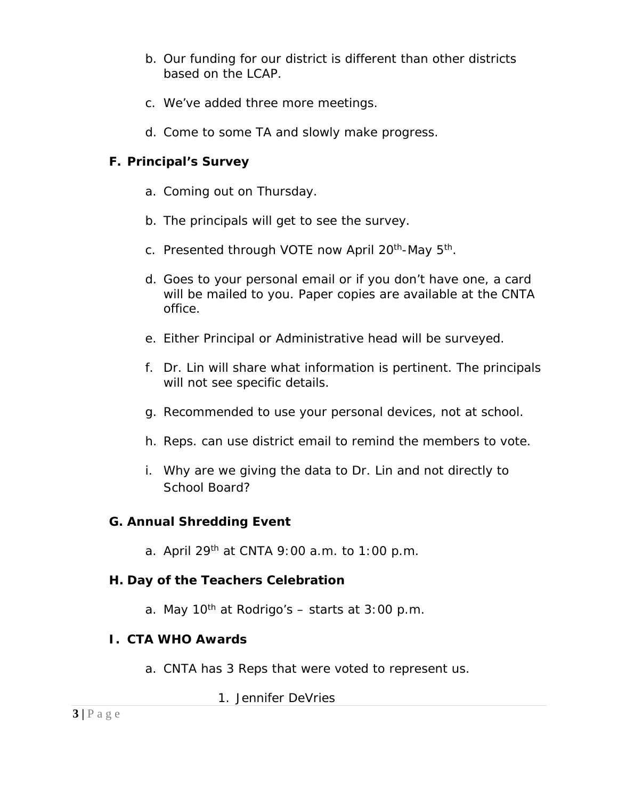- b. Our funding for our district is different than other districts based on the LCAP.
- c. We've added three more meetings.
- d. Come to some TA and slowly make progress.

## **F. Principal's Survey**

- a. Coming out on Thursday.
- b. The principals will get to see the survey.
- c. Presented through VOTE now April 20<sup>th</sup>-May 5<sup>th</sup>.
- d. Goes to your personal email or if you don't have one, a card will be mailed to you. Paper copies are available at the CNTA office.
- e. Either Principal or Administrative head will be surveyed.
- f. Dr. Lin will share what information is pertinent. The principals will not see specific details.
- g. Recommended to use your personal devices, not at school.
- h. Reps. can use district email to remind the members to vote.
- i. Why are we giving the data to Dr. Lin and not directly to School Board?

## **G. Annual Shredding Event**

a. April 29th at CNTA 9:00 a.m. to 1:00 p.m.

### **H. Day of the Teachers Celebration**

a. May 10<sup>th</sup> at Rodrigo's  $-$  starts at 3:00 p.m.

### **I. CTA WHO Awards**

a. CNTA has 3 Reps that were voted to represent us.

1. Jennifer DeVries